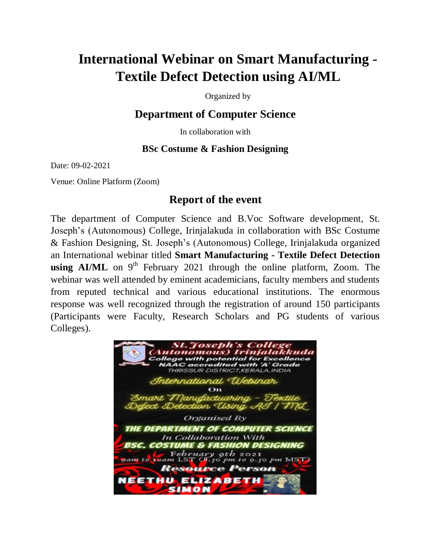## **International Webinar on Smart Manufacturing - Textile Defect Detection using AI/ML**

Organized by

## **Department of Computer Science**

In collaboration with

## **BSc Costume & Fashion Designing**

Date: 09-02-2021

Venue: Online Platform (Zoom)

## **Report of the event**

The department of Computer Science and B.Voc Software development, St. Joseph's (Autonomous) College, Irinjalakuda in collaboration with BSc Costume & Fashion Designing, St. Joseph's (Autonomous) College, Irinjalakuda organized an International webinar titled **Smart Manufacturing - Textile Defect Detection using AI/ML** on  $9<sup>th</sup>$  February 2021 through the online platform, Zoom. The webinar was well attended by eminent academicians, faculty members and students from reputed technical and various educational institutions. The enormous response was well recognized through the registration of around 150 participants (Participants were Faculty, Research Scholars and PG students of various Colleges).